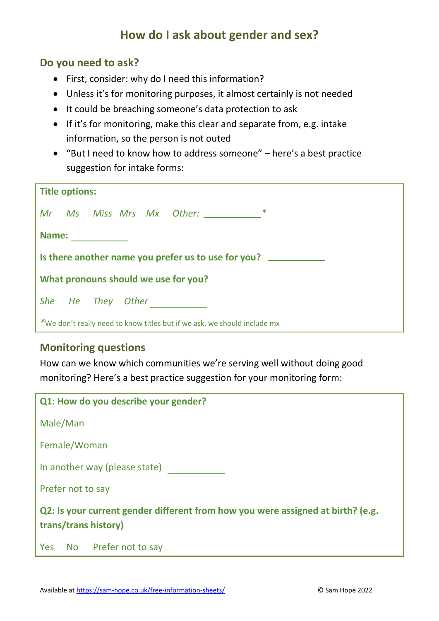## **How do I ask about gender and sex?**

## **Do you need to ask?**

- First, consider: why do I need this information?
- Unless it's for monitoring purposes, it almost certainly is not needed
- It could be breaching someone's data protection to ask
- If it's for monitoring, make this clear and separate from, e.g. intake information, so the person is not outed
- "But I need to know how to address someone" here's a best practice suggestion for intake forms:

| <b>Title options:</b>                                                    |
|--------------------------------------------------------------------------|
| Mr Ms Miss Mrs Mx Other: _____________*                                  |
| Name: ________                                                           |
| Is there another name you prefer us to use for you?                      |
| What pronouns should we use for you?                                     |
| She He They Other                                                        |
| *We don't really need to know titles but if we ask, we should include mx |

## **Monitoring questions**

How can we know which communities we're serving well without doing good monitoring? Here's a best practice suggestion for your monitoring form:

| Q1: How do you describe your gender?                                                                    |  |
|---------------------------------------------------------------------------------------------------------|--|
| Male/Man                                                                                                |  |
| Female/Woman                                                                                            |  |
| In another way (please state)                                                                           |  |
| Prefer not to say                                                                                       |  |
| Q2: Is your current gender different from how you were assigned at birth? (e.g.<br>trans/trans history) |  |
| Yes No Prefer not to say                                                                                |  |